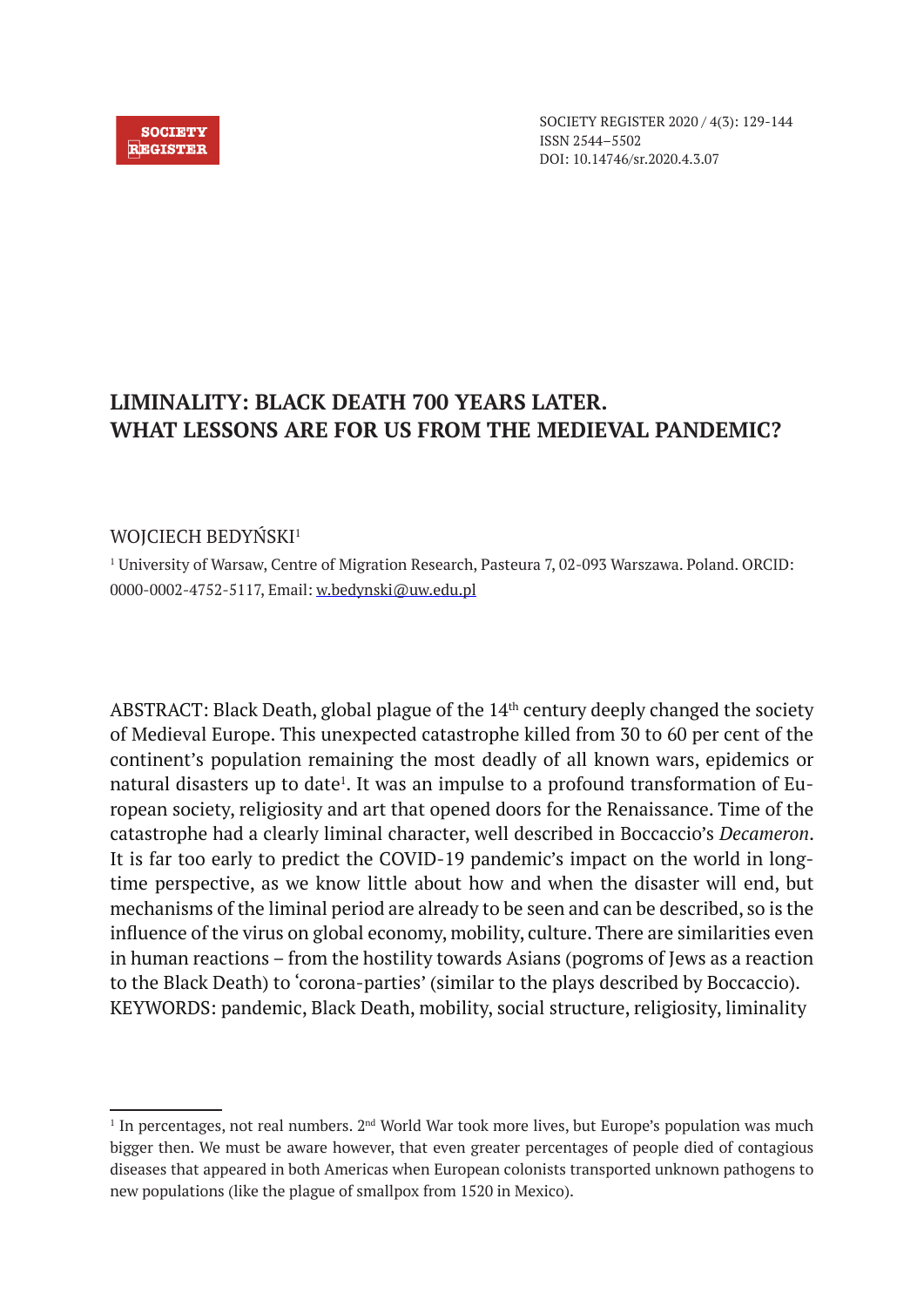#### **SOCIETY REGISTER**

SOCIETY REGISTER 2020 / 4(3): 129-144 ISSN 2544–5502 DOI: 10.14746/sr.2020.4.3.07

# **LIMINALITY: BLACK DEATH 700 YEARS LATER. WHAT LESSONS ARE FOR US FROM THE MEDIEVAL PANDEMIC?**

# WOICIECH BEDYŃSKI<sup>1</sup>

1 University of Warsaw, Centre of Migration Research, Pasteura 7, 02-093 Warszawa. Poland. ORCID: 0000-0002-4752-5117, Email: w.bedynski@uw.edu.pl

ABSTRACT: Black Death, global plague of the 14<sup>th</sup> century deeply changed the society of Medieval Europe. This unexpected catastrophe killed from 30 to 60 per cent of the continent's population remaining the most deadly of all known wars, epidemics or natural disasters up to date<sup>1</sup>. It was an impulse to a profound transformation of European society, religiosity and art that opened doors for the Renaissance. Time of the catastrophe had a clearly liminal character, well described in Boccaccio's *Decameron*. It is far too early to predict the COVID-19 pandemic's impact on the world in longtime perspective, as we know little about how and when the disaster will end, but mechanisms of the liminal period are already to be seen and can be described, so is the influence of the virus on global economy, mobility, culture. There are similarities even in human reactions – from the hostility towards Asians (pogroms of Jews as a reaction to the Black Death) to 'corona-parties' (similar to the plays described by Boccaccio). KEYWORDS: pandemic, Black Death, mobility, social structure, religiosity, liminality

 $<sup>1</sup>$  In percentages, not real numbers. 2<sup>nd</sup> World War took more lives, but Europe's population was much</sup> bigger then. We must be aware however, that even greater percentages of people died of contagious diseases that appeared in both Americas when European colonists transported unknown pathogens to new populations (like the plague of smallpox from 1520 in Mexico).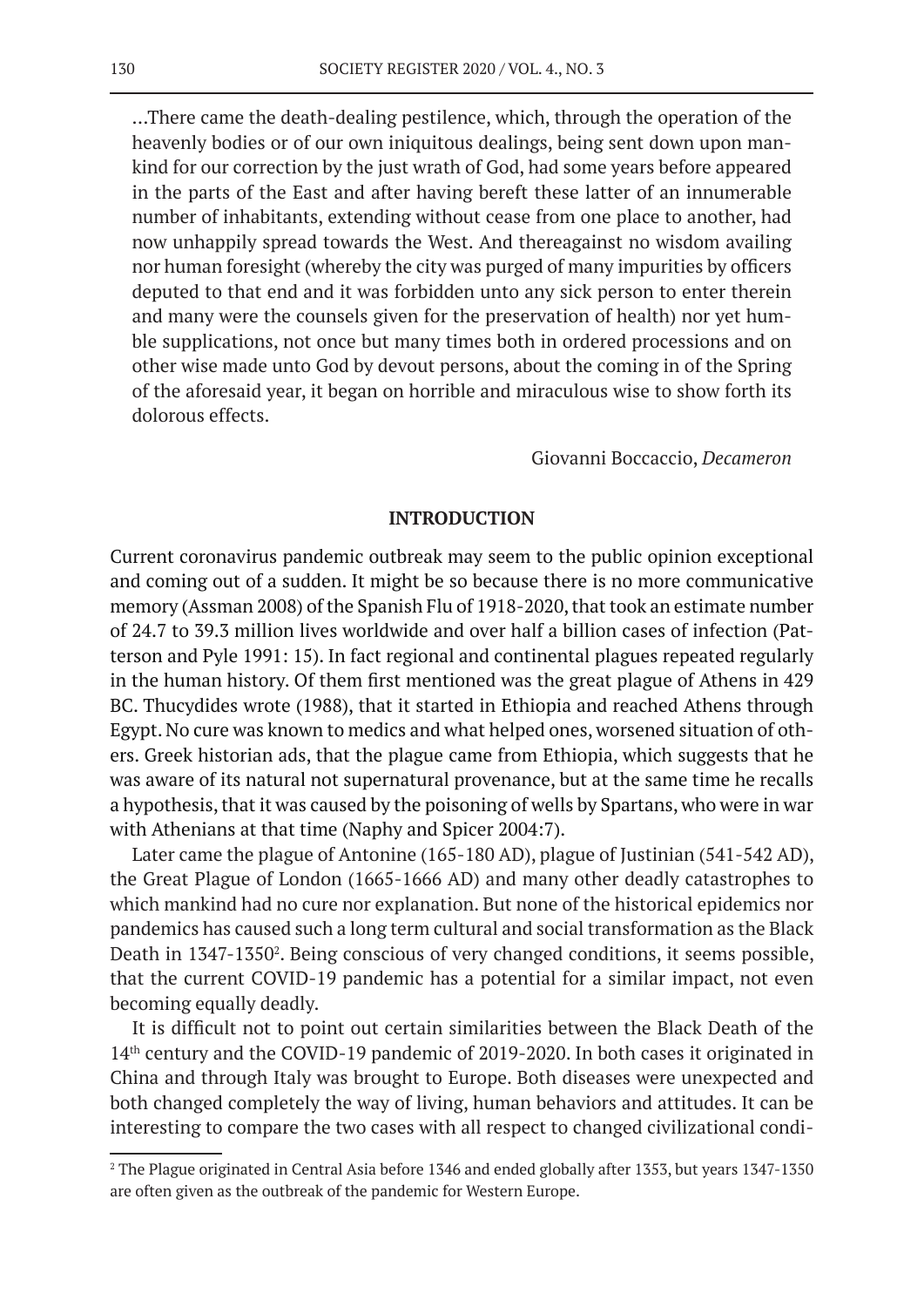…There came the death-dealing pestilence, which, through the operation of the heavenly bodies or of our own iniquitous dealings, being sent down upon mankind for our correction by the just wrath of God, had some years before appeared in the parts of the East and after having bereft these latter of an innumerable number of inhabitants, extending without cease from one place to another, had now unhappily spread towards the West. And thereagainst no wisdom availing nor human foresight (whereby the city was purged of many impurities by officers deputed to that end and it was forbidden unto any sick person to enter therein and many were the counsels given for the preservation of health) nor yet humble supplications, not once but many times both in ordered processions and on other wise made unto God by devout persons, about the coming in of the Spring of the aforesaid year, it began on horrible and miraculous wise to show forth its dolorous effects.

#### Giovanni Boccaccio, *Decameron*

# **INTRODUCTION**

Current coronavirus pandemic outbreak may seem to the public opinion exceptional and coming out of a sudden. It might be so because there is no more communicative memory (Assman 2008) of the Spanish Flu of 1918-2020, that took an estimate number of 24.7 to 39.3 million lives worldwide and over half a billion cases of infection (Patterson and Pyle 1991: 15). In fact regional and continental plagues repeated regularly in the human history. Of them first mentioned was the great plague of Athens in 429 BC. Thucydides wrote (1988), that it started in Ethiopia and reached Athens through Egypt. No cure was known to medics and what helped ones, worsened situation of others. Greek historian ads, that the plague came from Ethiopia, which suggests that he was aware of its natural not supernatural provenance, but at the same time he recalls a hypothesis, that it was caused by the poisoning of wells by Spartans, who were in war with Athenians at that time (Naphy and Spicer 2004:7).

Later came the plague of Antonine (165-180 AD), plague of Justinian (541-542 AD), the Great Plague of London (1665-1666 AD) and many other deadly catastrophes to which mankind had no cure nor explanation. But none of the historical epidemics nor pandemics has caused such a long term cultural and social transformation as the Black Death in 1347-1350<sup>2</sup>. Being conscious of very changed conditions, it seems possible, that the current COVID-19 pandemic has a potential for a similar impact, not even becoming equally deadly.

It is difficult not to point out certain similarities between the Black Death of the 14<sup>th</sup> century and the COVID-19 pandemic of 2019-2020. In both cases it originated in China and through Italy was brought to Europe. Both diseases were unexpected and both changed completely the way of living, human behaviors and attitudes. It can be interesting to compare the two cases with all respect to changed civilizational condi-

<sup>2</sup> The Plague originated in Central Asia before 1346 and ended globally after 1353, but years 1347-1350 are often given as the outbreak of the pandemic for Western Europe.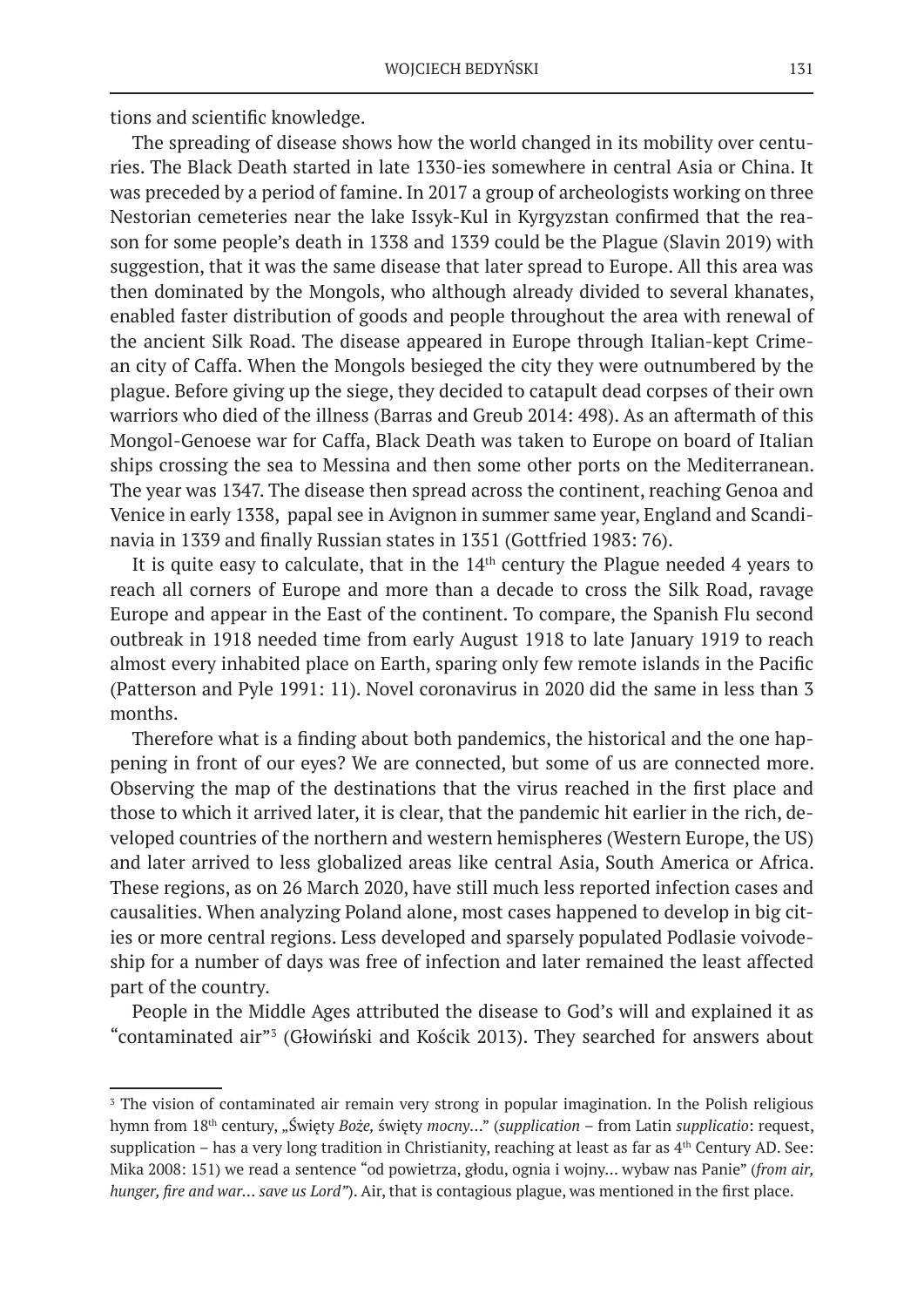tions and scientific knowledge.

The spreading of disease shows how the world changed in its mobility over centuries. The Black Death started in late 1330-ies somewhere in central Asia or China. It was preceded by a period of famine. In 2017 a group of archeologists working on three Nestorian cemeteries near the lake Issyk-Kul in Kyrgyzstan confirmed that the reason for some people's death in 1338 and 1339 could be the Plague (Slavin 2019) with suggestion, that it was the same disease that later spread to Europe. All this area was then dominated by the Mongols, who although already divided to several khanates, enabled faster distribution of goods and people throughout the area with renewal of the ancient Silk Road. The disease appeared in Europe through Italian-kept Crimean city of Caffa. When the Mongols besieged the city they were outnumbered by the plague. Before giving up the siege, they decided to catapult dead corpses of their own warriors who died of the illness (Barras and Greub 2014: 498). As an aftermath of this Mongol-Genoese war for Caffa, Black Death was taken to Europe on board of Italian ships crossing the sea to Messina and then some other ports on the Mediterranean. The year was 1347. The disease then spread across the continent, reaching Genoa and Venice in early 1338, papal see in Avignon in summer same year, England and Scandinavia in 1339 and finally Russian states in 1351 (Gottfried 1983: 76).

It is quite easy to calculate, that in the  $14<sup>th</sup>$  century the Plague needed 4 years to reach all corners of Europe and more than a decade to cross the Silk Road, ravage Europe and appear in the East of the continent. To compare, the Spanish Flu second outbreak in 1918 needed time from early August 1918 to late January 1919 to reach almost every inhabited place on Earth, sparing only few remote islands in the Pacific (Patterson and Pyle 1991: 11). Novel coronavirus in 2020 did the same in less than 3 months.

Therefore what is a finding about both pandemics, the historical and the one happening in front of our eyes? We are connected, but some of us are connected more. Observing the map of the destinations that the virus reached in the first place and those to which it arrived later, it is clear, that the pandemic hit earlier in the rich, developed countries of the northern and western hemispheres (Western Europe, the US) and later arrived to less globalized areas like central Asia, South America or Africa. These regions, as on 26 March 2020, have still much less reported infection cases and causalities. When analyzing Poland alone, most cases happened to develop in big cities or more central regions. Less developed and sparsely populated Podlasie voivodeship for a number of days was free of infection and later remained the least affected part of the country.

People in the Middle Ages attributed the disease to God's will and explained it as "contaminated air"3 (Głowiński and Kościk 2013). They searched for answers about

<sup>&</sup>lt;sup>3</sup> The vision of contaminated air remain very strong in popular imagination. In the Polish religious hymn from 18th century, "Święty *Boże,* święty *mocny*…" (*supplication* – from Latin *supplicatio*: request, supplication – has a very long tradition in Christianity, reaching at least as far as  $4<sup>th</sup>$  Century AD. See: Mika 2008: 151) we read a sentence "od powietrza, głodu, ognia i wojny… wybaw nas Panie" (*from air, hunger, fire and war… save us Lord"*). Air, that is contagious plague, was mentioned in the first place.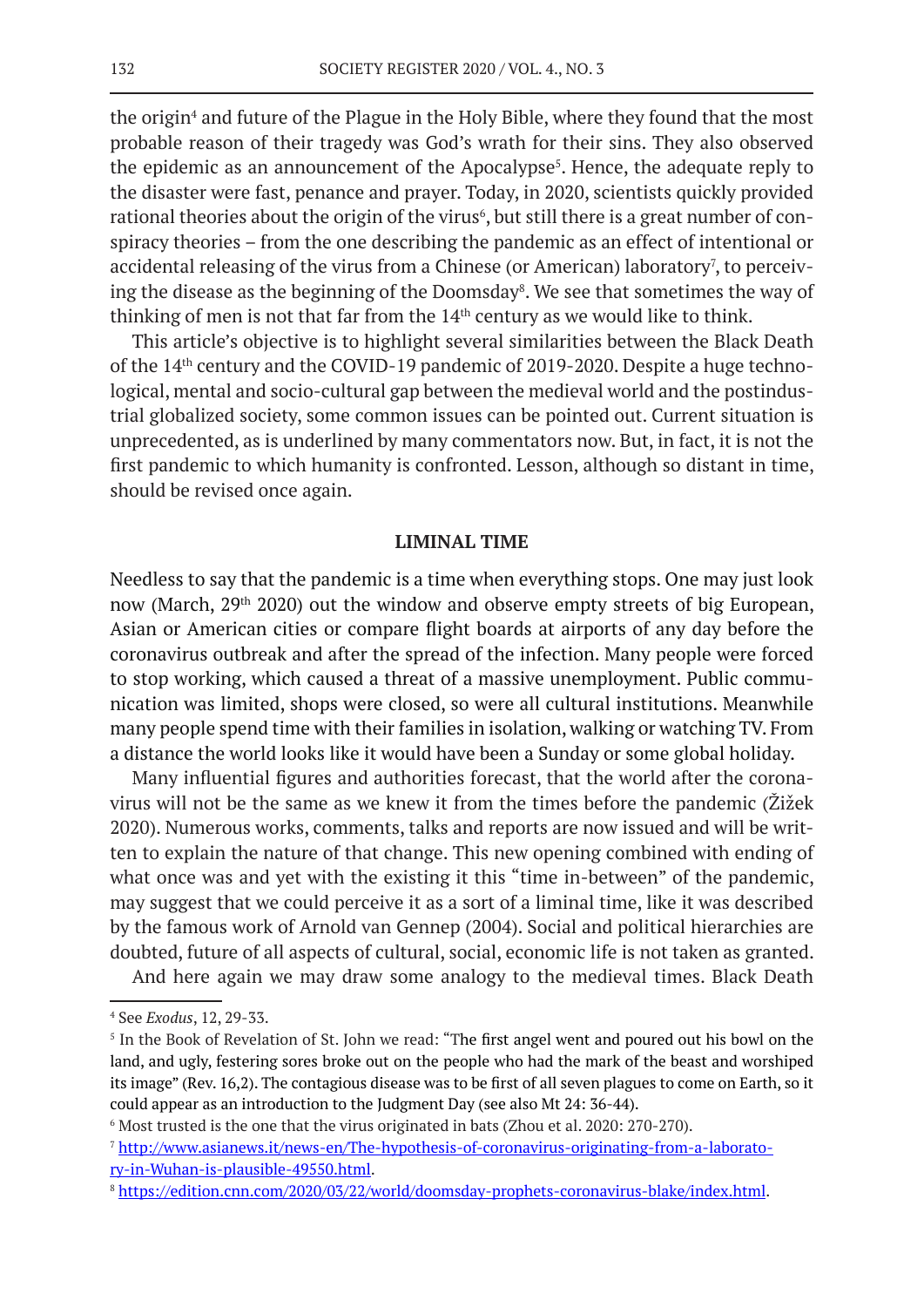the origin<sup>4</sup> and future of the Plague in the Holy Bible, where they found that the most probable reason of their tragedy was God's wrath for their sins. They also observed the epidemic as an announcement of the Apocalypse<sup>5</sup>. Hence, the adequate reply to the disaster were fast, penance and prayer. Today, in 2020, scientists quickly provided rational theories about the origin of the virus<sup>6</sup>, but still there is a great number of conspiracy theories – from the one describing the pandemic as an effect of intentional or accidental releasing of the virus from a Chinese (or American) laboratory<sup>7</sup>, to perceiving the disease as the beginning of the Doomsday<sup>8</sup>. We see that sometimes the way of thinking of men is not that far from the  $14<sup>th</sup>$  century as we would like to think.

This article's objective is to highlight several similarities between the Black Death of the 14th century and the COVID-19 pandemic of 2019-2020. Despite a huge technological, mental and socio-cultural gap between the medieval world and the postindustrial globalized society, some common issues can be pointed out. Current situation is unprecedented, as is underlined by many commentators now. But, in fact, it is not the first pandemic to which humanity is confronted. Lesson, although so distant in time, should be revised once again.

#### **LIMINAL TIME**

Needless to say that the pandemic is a time when everything stops. One may just look now (March, 29<sup>th</sup> 2020) out the window and observe empty streets of big European, Asian or American cities or compare flight boards at airports of any day before the coronavirus outbreak and after the spread of the infection. Many people were forced to stop working, which caused a threat of a massive unemployment. Public communication was limited, shops were closed, so were all cultural institutions. Meanwhile many people spend time with their families in isolation, walking or watching TV. From a distance the world looks like it would have been a Sunday or some global holiday.

Many influential figures and authorities forecast, that the world after the coronavirus will not be the same as we knew it from the times before the pandemic (Žižek 2020). Numerous works, comments, talks and reports are now issued and will be written to explain the nature of that change. This new opening combined with ending of what once was and yet with the existing it this "time in-between" of the pandemic, may suggest that we could perceive it as a sort of a liminal time, like it was described by the famous work of Arnold van Gennep (2004). Social and political hierarchies are doubted, future of all aspects of cultural, social, economic life is not taken as granted.

And here again we may draw some analogy to the medieval times. Black Death

<sup>4</sup> See *Exodus*, 12, 29-33.

<sup>5</sup> In the Book of Revelation of St. John we read: "The first angel went and poured out his bowl on the land, and ugly, festering sores broke out on the people who had the mark of the beast and worshiped its image" (Rev. 16,2). The contagious disease was to be first of all seven plagues to come on Earth, so it could appear as an introduction to the Judgment Day (see also Mt 24: 36-44).

 $^6$  Most trusted is the one that the virus originated in bats (Zhou et al. 2020: 270-270).

<sup>7</sup> http://www.asianews.it/news-en/The-hypothesis-of-coronavirus-originating-from-a-laboratory-in-Wuhan-is-plausible-49550.html.

<sup>8</sup> https://edition.cnn.com/2020/03/22/world/doomsday-prophets-coronavirus-blake/index.html.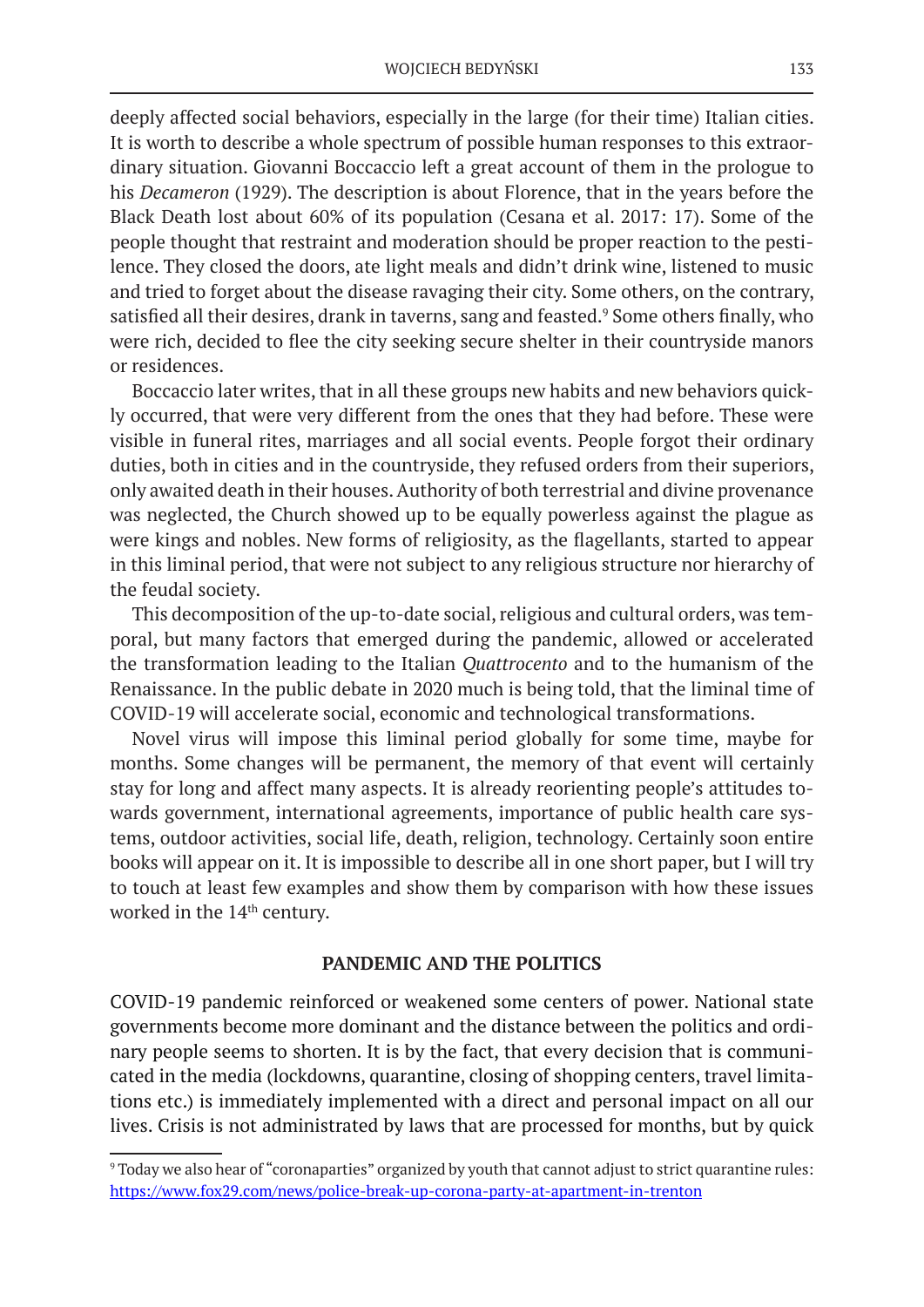deeply affected social behaviors, especially in the large (for their time) Italian cities. It is worth to describe a whole spectrum of possible human responses to this extraordinary situation. Giovanni Boccaccio left a great account of them in the prologue to his *Decameron* (1929). The description is about Florence, that in the years before the Black Death lost about 60% of its population (Cesana et al. 2017: 17). Some of the people thought that restraint and moderation should be proper reaction to the pestilence. They closed the doors, ate light meals and didn't drink wine, listened to music and tried to forget about the disease ravaging their city. Some others, on the contrary, satisfied all their desires, drank in taverns, sang and feasted.<sup>9</sup> Some others finally, who were rich, decided to flee the city seeking secure shelter in their countryside manors or residences.

Boccaccio later writes, that in all these groups new habits and new behaviors quickly occurred, that were very different from the ones that they had before. These were visible in funeral rites, marriages and all social events. People forgot their ordinary duties, both in cities and in the countryside, they refused orders from their superiors, only awaited death in their houses. Authority of both terrestrial and divine provenance was neglected, the Church showed up to be equally powerless against the plague as were kings and nobles. New forms of religiosity, as the flagellants, started to appear in this liminal period, that were not subject to any religious structure nor hierarchy of the feudal society.

This decomposition of the up-to-date social, religious and cultural orders, was temporal, but many factors that emerged during the pandemic, allowed or accelerated the transformation leading to the Italian *Quattrocento* and to the humanism of the Renaissance. In the public debate in 2020 much is being told, that the liminal time of COVID-19 will accelerate social, economic and technological transformations.

Novel virus will impose this liminal period globally for some time, maybe for months. Some changes will be permanent, the memory of that event will certainly stay for long and affect many aspects. It is already reorienting people's attitudes towards government, international agreements, importance of public health care systems, outdoor activities, social life, death, religion, technology. Certainly soon entire books will appear on it. It is impossible to describe all in one short paper, but I will try to touch at least few examples and show them by comparison with how these issues worked in the 14<sup>th</sup> century.

# **PANDEMIC AND THE POLITICS**

COVID-19 pandemic reinforced or weakened some centers of power. National state governments become more dominant and the distance between the politics and ordinary people seems to shorten. It is by the fact, that every decision that is communicated in the media (lockdowns, quarantine, closing of shopping centers, travel limitations etc.) is immediately implemented with a direct and personal impact on all our lives. Crisis is not administrated by laws that are processed for months, but by quick

<sup>9</sup> Today we also hear of "coronaparties" organized by youth that cannot adjust to strict quarantine rules: https://www.fox29.com/news/police-break-up-corona-party-at-apartment-in-trenton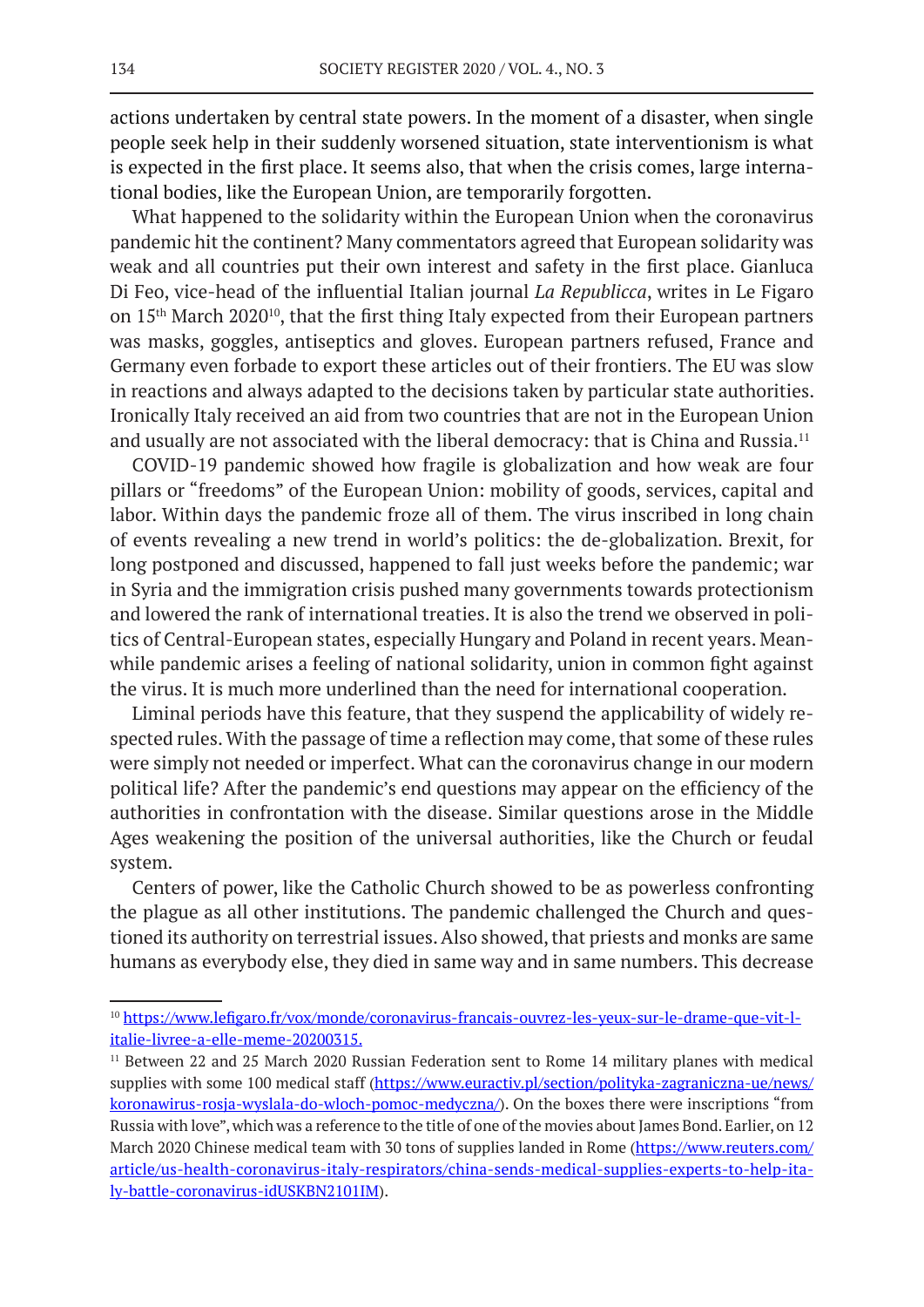actions undertaken by central state powers. In the moment of a disaster, when single people seek help in their suddenly worsened situation, state interventionism is what is expected in the first place. It seems also, that when the crisis comes, large international bodies, like the European Union, are temporarily forgotten.

What happened to the solidarity within the European Union when the coronavirus pandemic hit the continent? Many commentators agreed that European solidarity was weak and all countries put their own interest and safety in the first place. Gianluca Di Feo, vice-head of the influential Italian journal *La Republicca*, writes in Le Figaro on 15th March 202010, that the first thing Italy expected from their European partners was masks, goggles, antiseptics and gloves. European partners refused, France and Germany even forbade to export these articles out of their frontiers. The EU was slow in reactions and always adapted to the decisions taken by particular state authorities. Ironically Italy received an aid from two countries that are not in the European Union and usually are not associated with the liberal democracy: that is China and Russia.<sup>11</sup>

COVID-19 pandemic showed how fragile is globalization and how weak are four pillars or "freedoms" of the European Union: mobility of goods, services, capital and labor. Within days the pandemic froze all of them. The virus inscribed in long chain of events revealing a new trend in world's politics: the de-globalization. Brexit, for long postponed and discussed, happened to fall just weeks before the pandemic; war in Syria and the immigration crisis pushed many governments towards protectionism and lowered the rank of international treaties. It is also the trend we observed in politics of Central-European states, especially Hungary and Poland in recent years. Meanwhile pandemic arises a feeling of national solidarity, union in common fight against the virus. It is much more underlined than the need for international cooperation.

Liminal periods have this feature, that they suspend the applicability of widely respected rules. With the passage of time a reflection may come, that some of these rules were simply not needed or imperfect. What can the coronavirus change in our modern political life? After the pandemic's end questions may appear on the efficiency of the authorities in confrontation with the disease. Similar questions arose in the Middle Ages weakening the position of the universal authorities, like the Church or feudal system.

Centers of power, like the Catholic Church showed to be as powerless confronting the plague as all other institutions. The pandemic challenged the Church and questioned its authority on terrestrial issues. Also showed, that priests and monks are same humans as everybody else, they died in same way and in same numbers. This decrease

<sup>10</sup> https://www.lefigaro.fr/vox/monde/coronavirus-francais-ouvrez-les-yeux-sur-le-drame-que-vit-litalie-livree-a-elle-meme-20200315.

<sup>&</sup>lt;sup>11</sup> Between 22 and 25 March 2020 Russian Federation sent to Rome 14 military planes with medical supplies with some 100 medical staff (https://www.euractiv.pl/section/polityka-zagraniczna-ue/news/ koronawirus-rosja-wyslala-do-wloch-pomoc-medyczna/). On the boxes there were inscriptions "from Russia with love", which was a reference to the title of one of the movies about James Bond. Earlier, on 12 March 2020 Chinese medical team with 30 tons of supplies landed in Rome (https://www.reuters.com/ article/us-health-coronavirus-italy-respirators/china-sends-medical-supplies-experts-to-help-italy-battle-coronavirus-idUSKBN2101IM).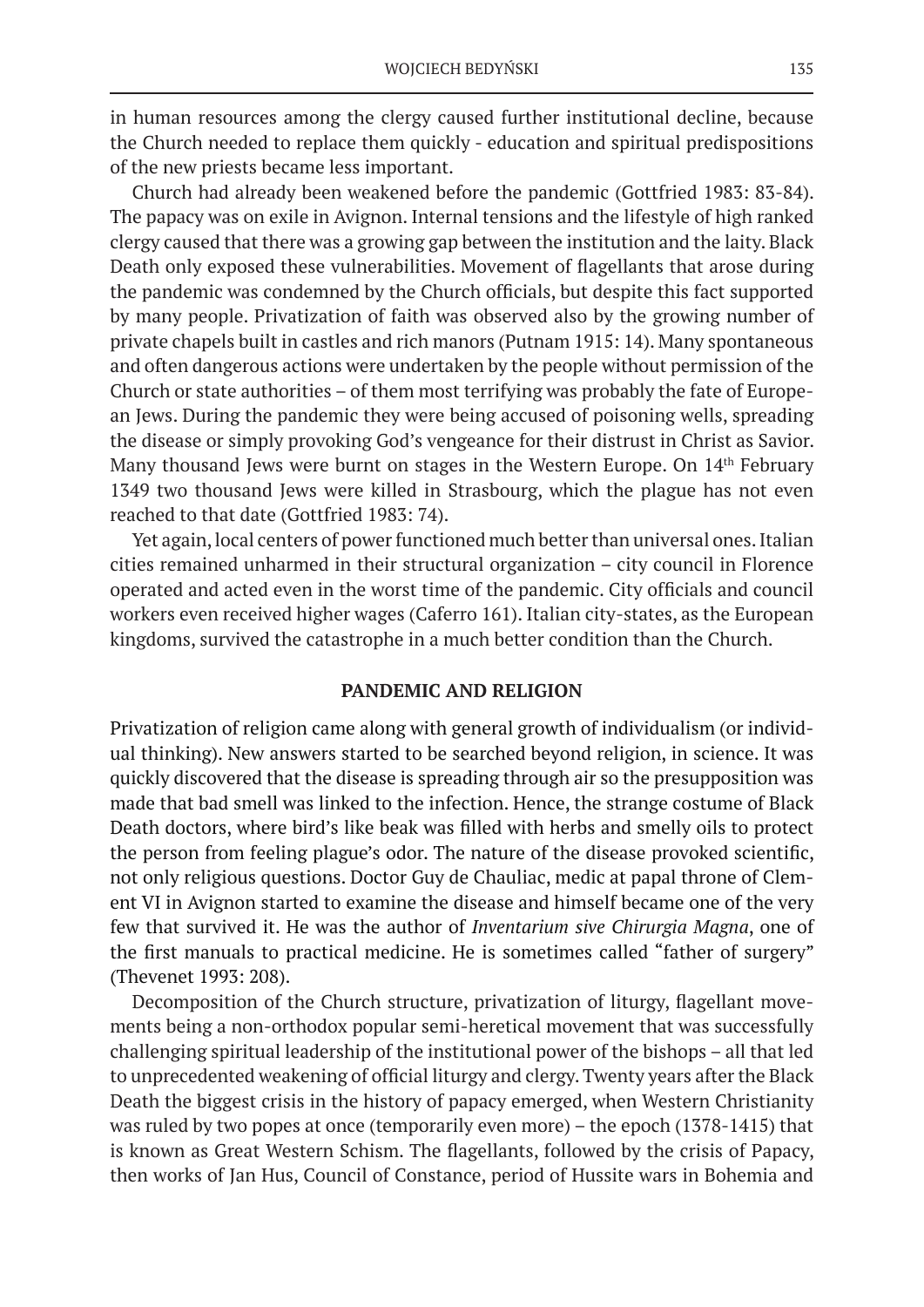in human resources among the clergy caused further institutional decline, because the Church needed to replace them quickly - education and spiritual predispositions of the new priests became less important.

Church had already been weakened before the pandemic (Gottfried 1983: 83-84). The papacy was on exile in Avignon. Internal tensions and the lifestyle of high ranked clergy caused that there was a growing gap between the institution and the laity. Black Death only exposed these vulnerabilities. Movement of flagellants that arose during the pandemic was condemned by the Church officials, but despite this fact supported by many people. Privatization of faith was observed also by the growing number of private chapels built in castles and rich manors (Putnam 1915: 14). Many spontaneous and often dangerous actions were undertaken by the people without permission of the Church or state authorities – of them most terrifying was probably the fate of European Jews. During the pandemic they were being accused of poisoning wells, spreading the disease or simply provoking God's vengeance for their distrust in Christ as Savior. Many thousand Jews were burnt on stages in the Western Europe. On 14<sup>th</sup> February 1349 two thousand Jews were killed in Strasbourg, which the plague has not even reached to that date (Gottfried 1983: 74).

Yet again, local centers of power functioned much better than universal ones. Italian cities remained unharmed in their structural organization – city council in Florence operated and acted even in the worst time of the pandemic. City officials and council workers even received higher wages (Caferro 161). Italian city-states, as the European kingdoms, survived the catastrophe in a much better condition than the Church.

## **PANDEMIC AND RELIGION**

Privatization of religion came along with general growth of individualism (or individual thinking). New answers started to be searched beyond religion, in science. It was quickly discovered that the disease is spreading through air so the presupposition was made that bad smell was linked to the infection. Hence, the strange costume of Black Death doctors, where bird's like beak was filled with herbs and smelly oils to protect the person from feeling plague's odor. The nature of the disease provoked scientific, not only religious questions. Doctor Guy de Chauliac, medic at papal throne of Clement VI in Avignon started to examine the disease and himself became one of the very few that survived it. He was the author of *Inventarium sive Chirurgia Magna*, one of the first manuals to practical medicine. He is sometimes called "father of surgery" (Thevenet 1993: 208).

Decomposition of the Church structure, privatization of liturgy, flagellant movements being a non-orthodox popular semi-heretical movement that was successfully challenging spiritual leadership of the institutional power of the bishops – all that led to unprecedented weakening of official liturgy and clergy. Twenty years after the Black Death the biggest crisis in the history of papacy emerged, when Western Christianity was ruled by two popes at once (temporarily even more) – the epoch (1378-1415) that is known as Great Western Schism. The flagellants, followed by the crisis of Papacy, then works of Jan Hus, Council of Constance, period of Hussite wars in Bohemia and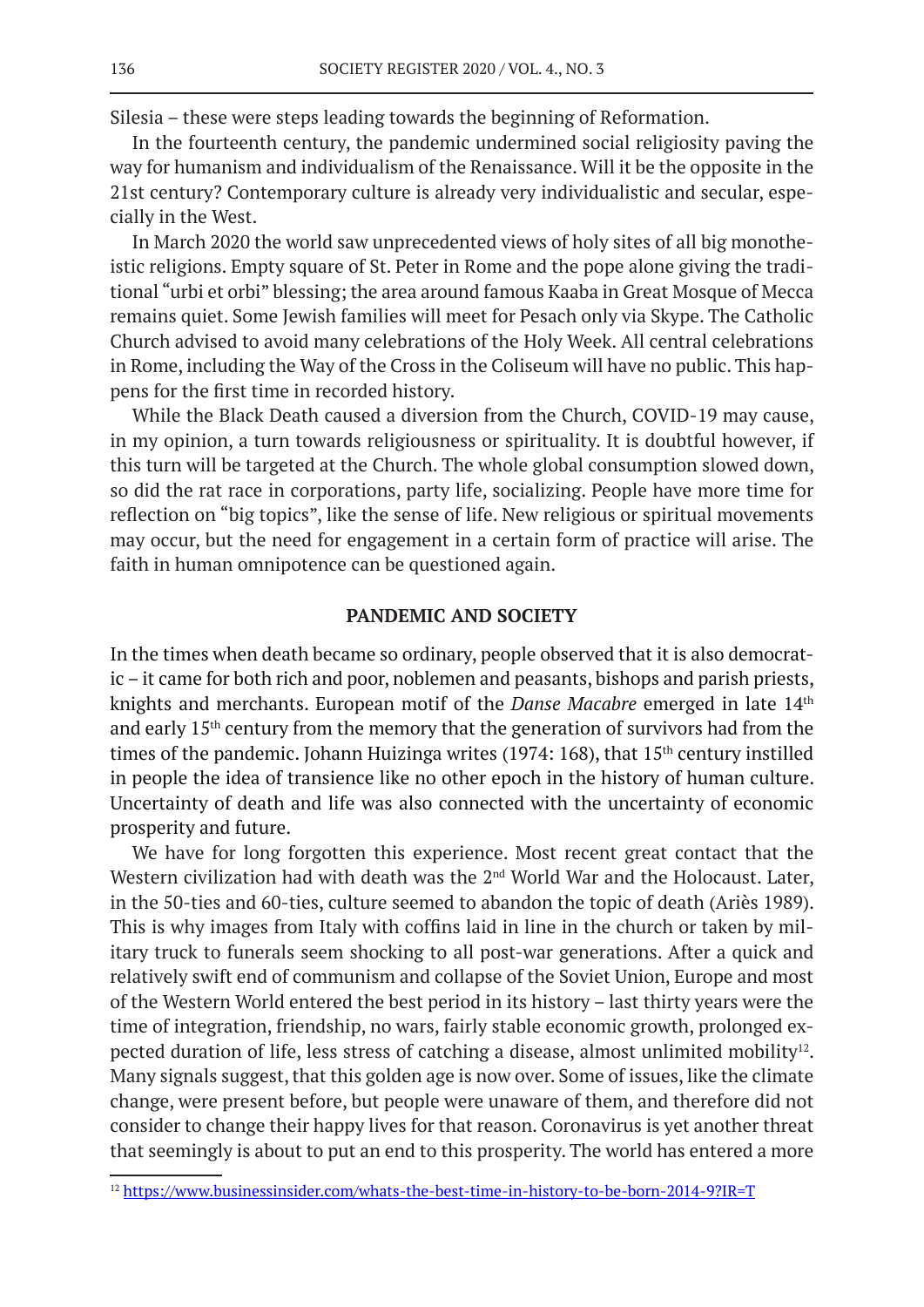Silesia – these were steps leading towards the beginning of Reformation.

In the fourteenth century, the pandemic undermined social religiosity paving the way for humanism and individualism of the Renaissance. Will it be the opposite in the 21st century? Contemporary culture is already very individualistic and secular, especially in the West.

In March 2020 the world saw unprecedented views of holy sites of all big monotheistic religions. Empty square of St. Peter in Rome and the pope alone giving the traditional "urbi et orbi" blessing; the area around famous Kaaba in Great Mosque of Mecca remains quiet. Some Jewish families will meet for Pesach only via Skype. The Catholic Church advised to avoid many celebrations of the Holy Week. All central celebrations in Rome, including the Way of the Cross in the Coliseum will have no public. This happens for the first time in recorded history.

While the Black Death caused a diversion from the Church, COVID-19 may cause, in my opinion, a turn towards religiousness or spirituality. It is doubtful however, if this turn will be targeted at the Church. The whole global consumption slowed down, so did the rat race in corporations, party life, socializing. People have more time for reflection on "big topics", like the sense of life. New religious or spiritual movements may occur, but the need for engagement in a certain form of practice will arise. The faith in human omnipotence can be questioned again.

## **PANDEMIC AND SOCIETY**

In the times when death became so ordinary, people observed that it is also democratic – it came for both rich and poor, noblemen and peasants, bishops and parish priests, knights and merchants. European motif of the *Danse Macabre* emerged in late 14<sup>th</sup> and early 15th century from the memory that the generation of survivors had from the times of the pandemic. Johann Huizinga writes (1974: 168), that 15<sup>th</sup> century instilled in people the idea of transience like no other epoch in the history of human culture. Uncertainty of death and life was also connected with the uncertainty of economic prosperity and future.

We have for long forgotten this experience. Most recent great contact that the Western civilization had with death was the 2<sup>nd</sup> World War and the Holocaust. Later, in the 50-ties and 60-ties, culture seemed to abandon the topic of death (Ariès 1989). This is why images from Italy with coffins laid in line in the church or taken by military truck to funerals seem shocking to all post-war generations. After a quick and relatively swift end of communism and collapse of the Soviet Union, Europe and most of the Western World entered the best period in its history – last thirty years were the time of integration, friendship, no wars, fairly stable economic growth, prolonged expected duration of life, less stress of catching a disease, almost unlimited mobility<sup>12</sup>. Many signals suggest, that this golden age is now over. Some of issues, like the climate change, were present before, but people were unaware of them, and therefore did not consider to change their happy lives for that reason. Coronavirus is yet another threat that seemingly is about to put an end to this prosperity. The world has entered a more

<sup>&</sup>lt;sup>12</sup> https://www.businessinsider.com/whats-the-best-time-in-history-to-be-born-2014-9?IR=T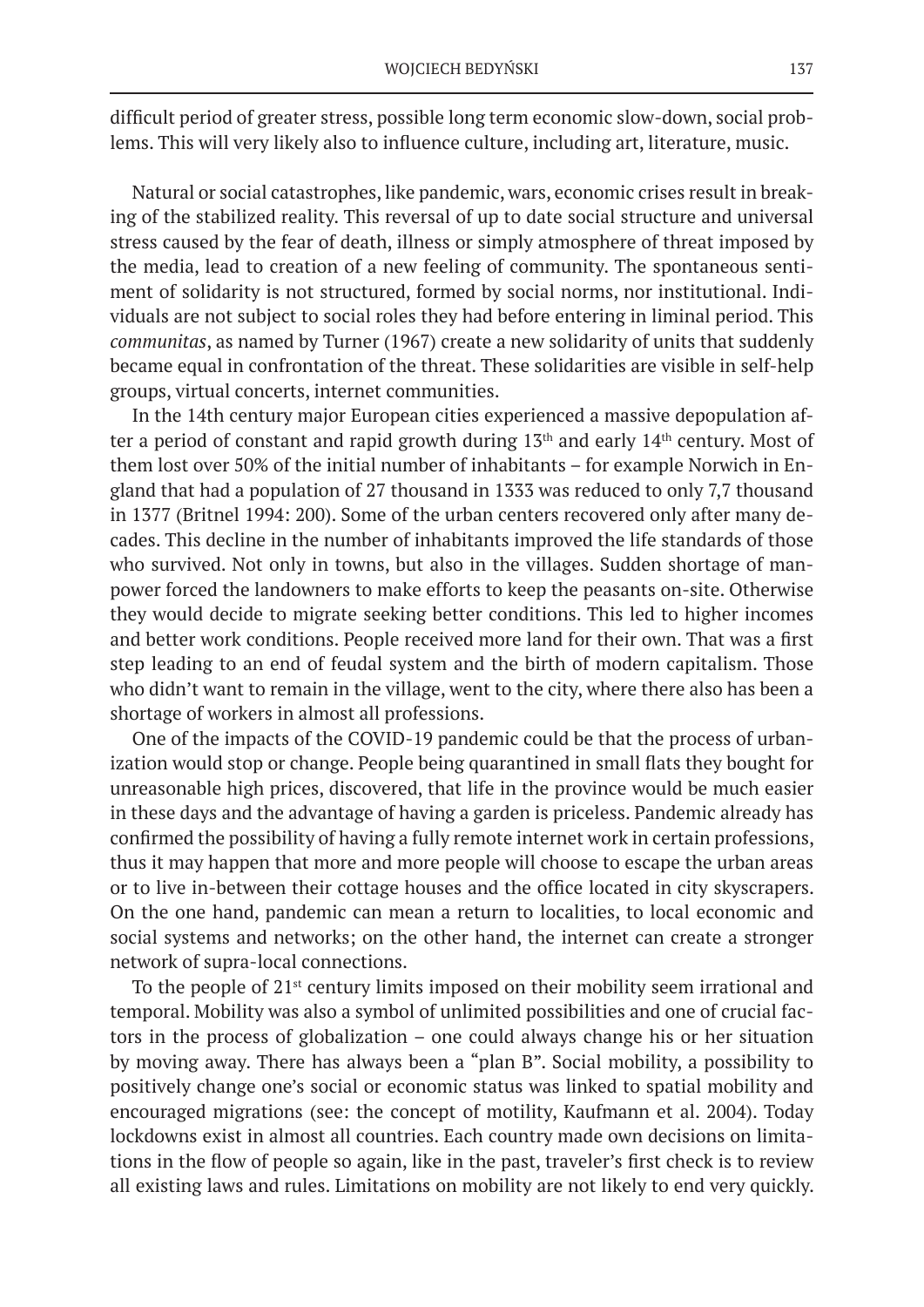difficult period of greater stress, possible long term economic slow-down, social problems. This will very likely also to influence culture, including art, literature, music.

Natural or social catastrophes, like pandemic, wars, economic crises result in breaking of the stabilized reality. This reversal of up to date social structure and universal stress caused by the fear of death, illness or simply atmosphere of threat imposed by the media, lead to creation of a new feeling of community. The spontaneous sentiment of solidarity is not structured, formed by social norms, nor institutional. Individuals are not subject to social roles they had before entering in liminal period. This *communitas*, as named by Turner (1967) create a new solidarity of units that suddenly became equal in confrontation of the threat. These solidarities are visible in self-help groups, virtual concerts, internet communities.

In the 14th century major European cities experienced a massive depopulation after a period of constant and rapid growth during  $13<sup>th</sup>$  and early  $14<sup>th</sup>$  century. Most of them lost over 50% of the initial number of inhabitants – for example Norwich in England that had a population of 27 thousand in 1333 was reduced to only 7,7 thousand in 1377 (Britnel 1994: 200). Some of the urban centers recovered only after many decades. This decline in the number of inhabitants improved the life standards of those who survived. Not only in towns, but also in the villages. Sudden shortage of manpower forced the landowners to make efforts to keep the peasants on-site. Otherwise they would decide to migrate seeking better conditions. This led to higher incomes and better work conditions. People received more land for their own. That was a first step leading to an end of feudal system and the birth of modern capitalism. Those who didn't want to remain in the village, went to the city, where there also has been a shortage of workers in almost all professions.

One of the impacts of the COVID-19 pandemic could be that the process of urbanization would stop or change. People being quarantined in small flats they bought for unreasonable high prices, discovered, that life in the province would be much easier in these days and the advantage of having a garden is priceless. Pandemic already has confirmed the possibility of having a fully remote internet work in certain professions, thus it may happen that more and more people will choose to escape the urban areas or to live in-between their cottage houses and the office located in city skyscrapers. On the one hand, pandemic can mean a return to localities, to local economic and social systems and networks; on the other hand, the internet can create a stronger network of supra-local connections.

To the people of  $21<sup>st</sup>$  century limits imposed on their mobility seem irrational and temporal. Mobility was also a symbol of unlimited possibilities and one of crucial factors in the process of globalization – one could always change his or her situation by moving away. There has always been a "plan B". Social mobility, a possibility to positively change one's social or economic status was linked to spatial mobility and encouraged migrations (see: the concept of motility, Kaufmann et al. 2004). Today lockdowns exist in almost all countries. Each country made own decisions on limitations in the flow of people so again, like in the past, traveler's first check is to review all existing laws and rules. Limitations on mobility are not likely to end very quickly.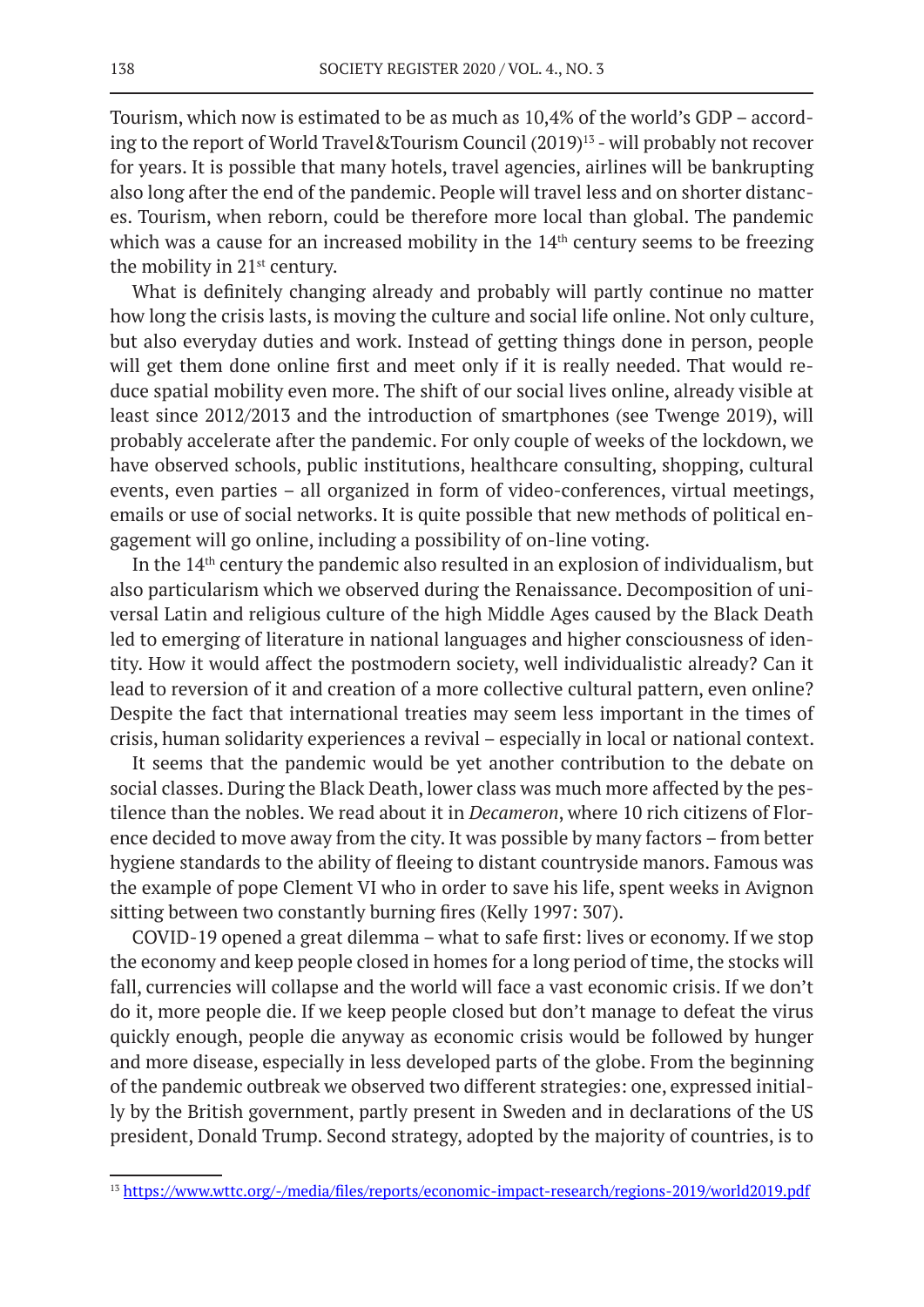Tourism, which now is estimated to be as much as 10,4% of the world's GDP – according to the report of World Travel&Tourism Council (2019)<sup>13</sup> - will probably not recover for years. It is possible that many hotels, travel agencies, airlines will be bankrupting also long after the end of the pandemic. People will travel less and on shorter distances. Tourism, when reborn, could be therefore more local than global. The pandemic which was a cause for an increased mobility in the  $14<sup>th</sup>$  century seems to be freezing the mobility in 21<sup>st</sup> century.

What is definitely changing already and probably will partly continue no matter how long the crisis lasts, is moving the culture and social life online. Not only culture, but also everyday duties and work. Instead of getting things done in person, people will get them done online first and meet only if it is really needed. That would reduce spatial mobility even more. The shift of our social lives online, already visible at least since 2012/2013 and the introduction of smartphones (see Twenge 2019), will probably accelerate after the pandemic. For only couple of weeks of the lockdown, we have observed schools, public institutions, healthcare consulting, shopping, cultural events, even parties – all organized in form of video-conferences, virtual meetings, emails or use of social networks. It is quite possible that new methods of political engagement will go online, including a possibility of on-line voting.

In the  $14<sup>th</sup>$  century the pandemic also resulted in an explosion of individualism, but also particularism which we observed during the Renaissance. Decomposition of universal Latin and religious culture of the high Middle Ages caused by the Black Death led to emerging of literature in national languages and higher consciousness of identity. How it would affect the postmodern society, well individualistic already? Can it lead to reversion of it and creation of a more collective cultural pattern, even online? Despite the fact that international treaties may seem less important in the times of crisis, human solidarity experiences a revival – especially in local or national context.

It seems that the pandemic would be yet another contribution to the debate on social classes. During the Black Death, lower class was much more affected by the pestilence than the nobles. We read about it in *Decameron*, where 10 rich citizens of Florence decided to move away from the city. It was possible by many factors – from better hygiene standards to the ability of fleeing to distant countryside manors. Famous was the example of pope Clement VI who in order to save his life, spent weeks in Avignon sitting between two constantly burning fires (Kelly 1997: 307).

COVID-19 opened a great dilemma – what to safe first: lives or economy. If we stop the economy and keep people closed in homes for a long period of time, the stocks will fall, currencies will collapse and the world will face a vast economic crisis. If we don't do it, more people die. If we keep people closed but don't manage to defeat the virus quickly enough, people die anyway as economic crisis would be followed by hunger and more disease, especially in less developed parts of the globe. From the beginning of the pandemic outbreak we observed two different strategies: one, expressed initially by the British government, partly present in Sweden and in declarations of the US president, Donald Trump. Second strategy, adopted by the majority of countries, is to

<sup>13</sup> https://www.wttc.org/-/media/files/reports/economic-impact-research/regions-2019/world2019.pdf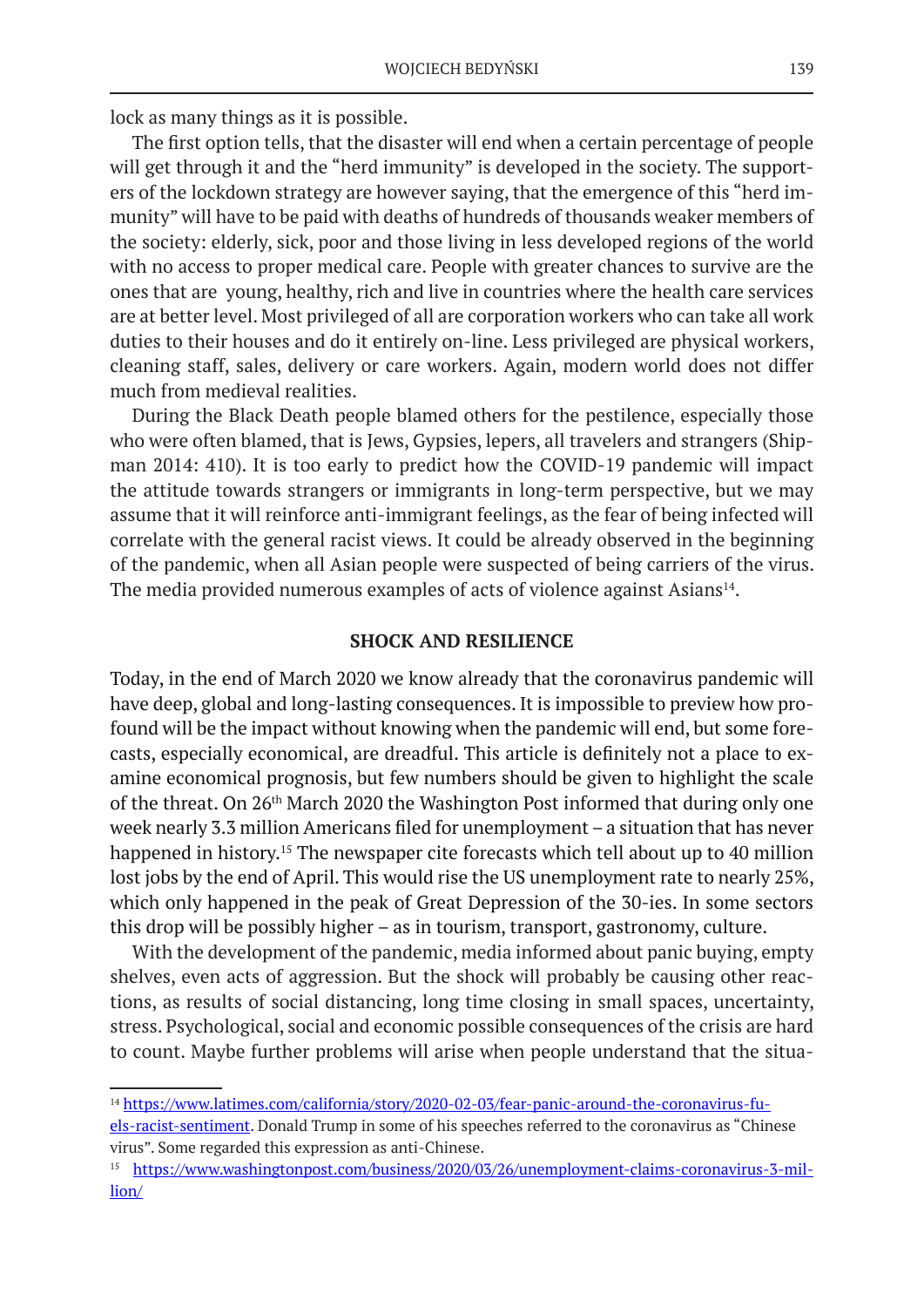lock as many things as it is possible.

The first option tells, that the disaster will end when a certain percentage of people will get through it and the "herd immunity" is developed in the society. The supporters of the lockdown strategy are however saying, that the emergence of this "herd immunity" will have to be paid with deaths of hundreds of thousands weaker members of the society: elderly, sick, poor and those living in less developed regions of the world with no access to proper medical care. People with greater chances to survive are the ones that are young, healthy, rich and live in countries where the health care services are at better level. Most privileged of all are corporation workers who can take all work duties to their houses and do it entirely on-line. Less privileged are physical workers, cleaning staff, sales, delivery or care workers. Again, modern world does not differ much from medieval realities.

During the Black Death people blamed others for the pestilence, especially those who were often blamed, that is Jews, Gypsies, lepers, all travelers and strangers (Shipman 2014: 410). It is too early to predict how the COVID-19 pandemic will impact the attitude towards strangers or immigrants in long-term perspective, but we may assume that it will reinforce anti-immigrant feelings, as the fear of being infected will correlate with the general racist views. It could be already observed in the beginning of the pandemic, when all Asian people were suspected of being carriers of the virus. The media provided numerous examples of acts of violence against Asians<sup>14</sup>.

#### **SHOCK AND RESILIENCE**

Today, in the end of March 2020 we know already that the coronavirus pandemic will have deep, global and long-lasting consequences. It is impossible to preview how profound will be the impact without knowing when the pandemic will end, but some forecasts, especially economical, are dreadful. This article is definitely not a place to examine economical prognosis, but few numbers should be given to highlight the scale of the threat. On 26<sup>th</sup> March 2020 the Washington Post informed that during only one week nearly 3.3 million Americans filed for unemployment – a situation that has never happened in history.<sup>15</sup> The newspaper cite forecasts which tell about up to 40 million lost jobs by the end of April. This would rise the US unemployment rate to nearly 25%, which only happened in the peak of Great Depression of the 30-ies. In some sectors this drop will be possibly higher – as in tourism, transport, gastronomy, culture.

With the development of the pandemic, media informed about panic buying, empty shelves, even acts of aggression. But the shock will probably be causing other reactions, as results of social distancing, long time closing in small spaces, uncertainty, stress. Psychological, social and economic possible consequences of the crisis are hard to count. Maybe further problems will arise when people understand that the situa-

<sup>&</sup>lt;sup>14</sup> https://www.latimes.com/california/story/2020-02-03/fear-panic-around-the-coronavirus-fuels-racist-sentiment. Donald Trump in some of his speeches referred to the coronavirus as "Chinese virus". Some regarded this expression as anti-Chinese.

<sup>15</sup> https://www.washingtonpost.com/business/2020/03/26/unemployment-claims-coronavirus-3-million/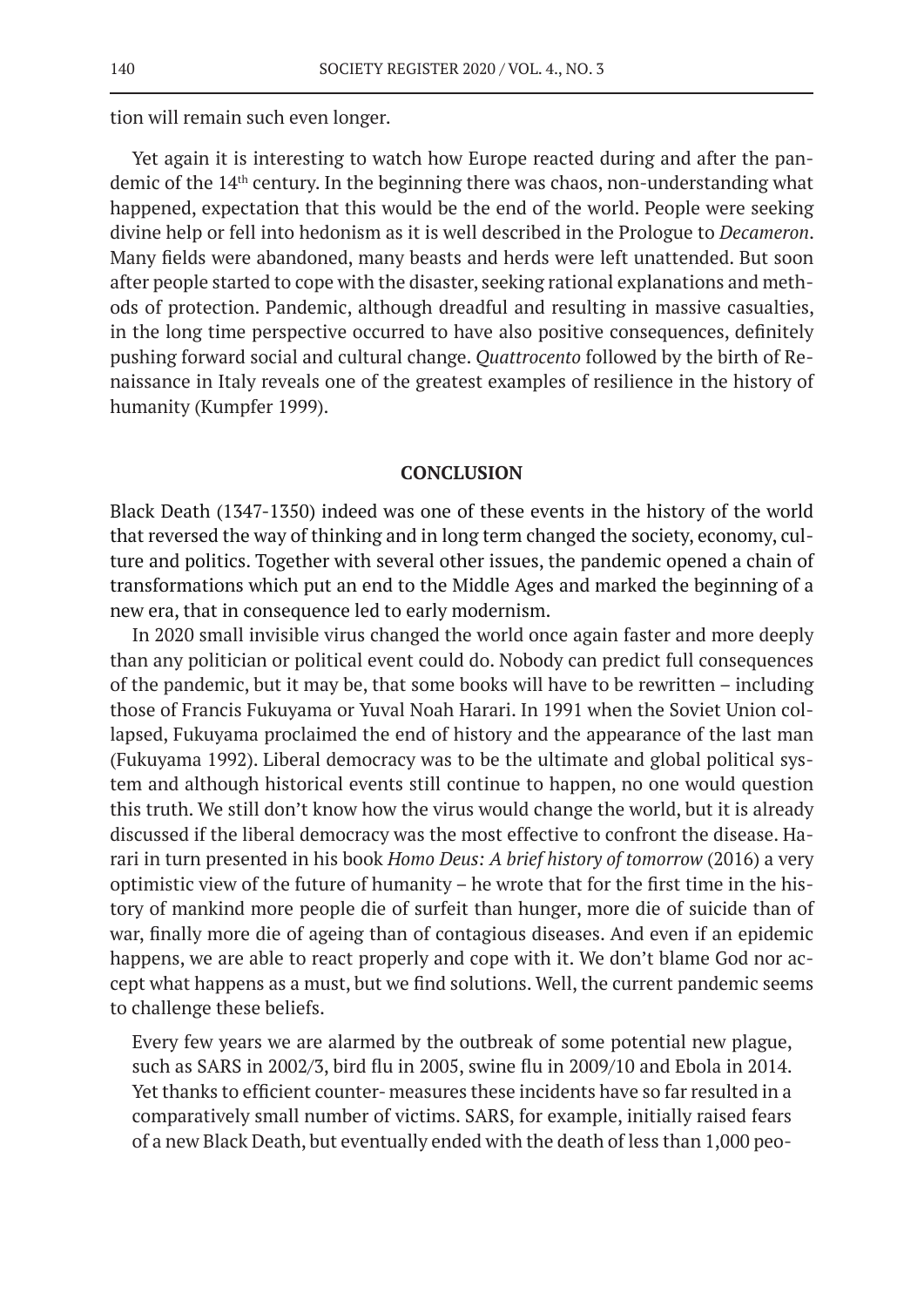tion will remain such even longer.

Yet again it is interesting to watch how Europe reacted during and after the pandemic of the 14th century. In the beginning there was chaos, non-understanding what happened, expectation that this would be the end of the world. People were seeking divine help or fell into hedonism as it is well described in the Prologue to *Decameron*. Many fields were abandoned, many beasts and herds were left unattended. But soon after people started to cope with the disaster, seeking rational explanations and methods of protection. Pandemic, although dreadful and resulting in massive casualties, in the long time perspective occurred to have also positive consequences, definitely pushing forward social and cultural change. *Quattrocento* followed by the birth of Renaissance in Italy reveals one of the greatest examples of resilience in the history of humanity (Kumpfer 1999).

## **CONCLUSION**

Black Death (1347-1350) indeed was one of these events in the history of the world that reversed the way of thinking and in long term changed the society, economy, culture and politics. Together with several other issues, the pandemic opened a chain of transformations which put an end to the Middle Ages and marked the beginning of a new era, that in consequence led to early modernism.

In 2020 small invisible virus changed the world once again faster and more deeply than any politician or political event could do. Nobody can predict full consequences of the pandemic, but it may be, that some books will have to be rewritten – including those of Francis Fukuyama or Yuval Noah Harari. In 1991 when the Soviet Union collapsed, Fukuyama proclaimed the end of history and the appearance of the last man (Fukuyama 1992). Liberal democracy was to be the ultimate and global political system and although historical events still continue to happen, no one would question this truth. We still don't know how the virus would change the world, but it is already discussed if the liberal democracy was the most effective to confront the disease. Harari in turn presented in his book *Homo Deus: A brief history of tomorrow* (2016) a very optimistic view of the future of humanity – he wrote that for the first time in the history of mankind more people die of surfeit than hunger, more die of suicide than of war, finally more die of ageing than of contagious diseases. And even if an epidemic happens, we are able to react properly and cope with it. We don't blame God nor accept what happens as a must, but we find solutions. Well, the current pandemic seems to challenge these beliefs.

Every few years we are alarmed by the outbreak of some potential new plague, such as SARS in 2002/3, bird flu in 2005, swine flu in 2009/10 and Ebola in 2014. Yet thanks to efficient counter- measures these incidents have so far resulted in a comparatively small number of victims. SARS, for example, initially raised fears of a new Black Death, but eventually ended with the death of less than 1,000 peo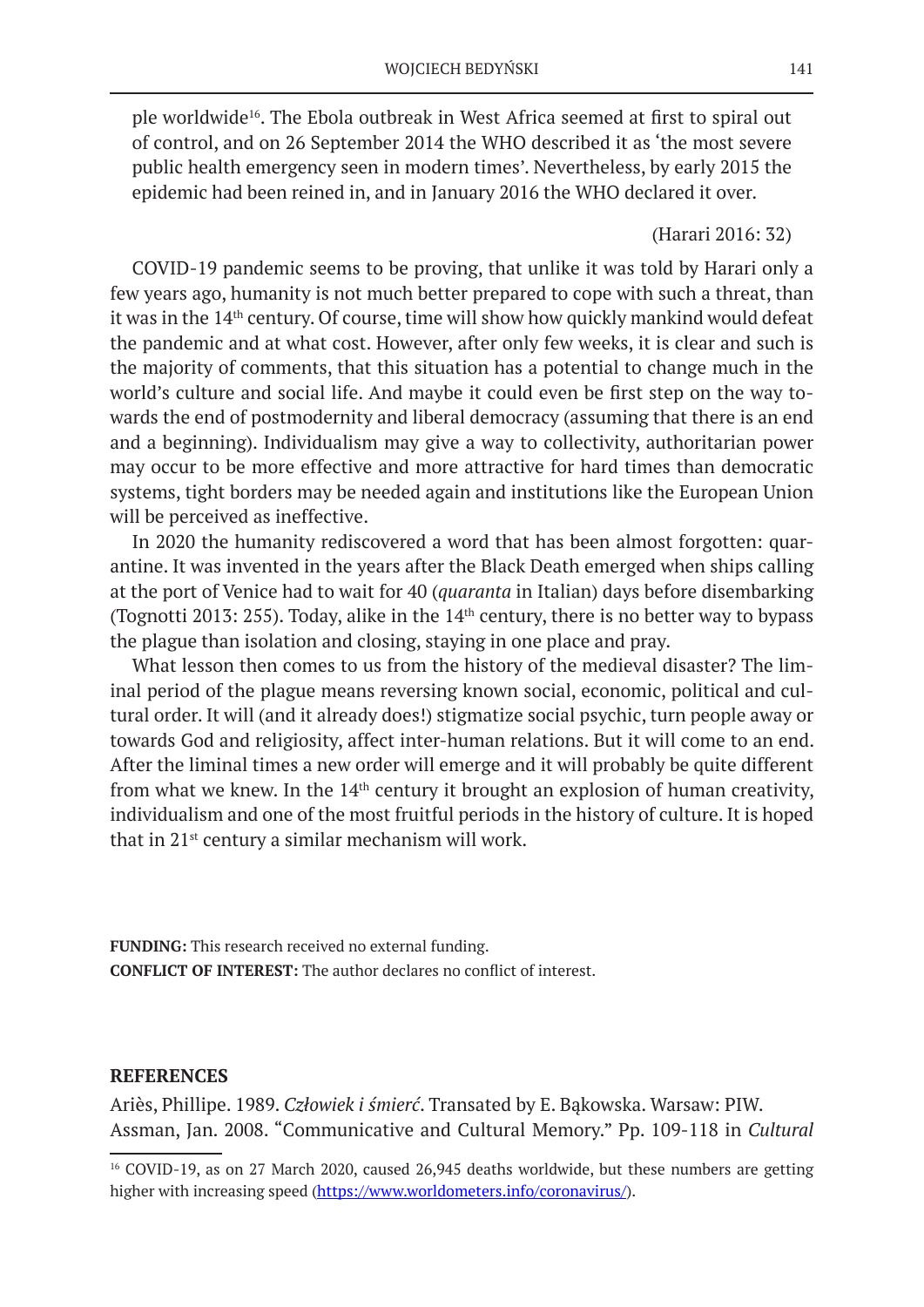ple worldwide<sup>16</sup>. The Ebola outbreak in West Africa seemed at first to spiral out of control, and on 26 September 2014 the WHO described it as 'the most severe public health emergency seen in modern times'. Nevertheless, by early 2015 the epidemic had been reined in, and in January 2016 the WHO declared it over.

## (Harari 2016: 32)

COVID-19 pandemic seems to be proving, that unlike it was told by Harari only a few years ago, humanity is not much better prepared to cope with such a threat, than it was in the 14<sup>th</sup> century. Of course, time will show how quickly mankind would defeat the pandemic and at what cost. However, after only few weeks, it is clear and such is the majority of comments, that this situation has a potential to change much in the world's culture and social life. And maybe it could even be first step on the way towards the end of postmodernity and liberal democracy (assuming that there is an end and a beginning). Individualism may give a way to collectivity, authoritarian power may occur to be more effective and more attractive for hard times than democratic systems, tight borders may be needed again and institutions like the European Union will be perceived as ineffective.

In 2020 the humanity rediscovered a word that has been almost forgotten: quarantine. It was invented in the years after the Black Death emerged when ships calling at the port of Venice had to wait for 40 (*quaranta* in Italian) days before disembarking (Tognotti 2013: 255). Today, alike in the  $14<sup>th</sup>$  century, there is no better way to bypass the plague than isolation and closing, staying in one place and pray.

What lesson then comes to us from the history of the medieval disaster? The liminal period of the plague means reversing known social, economic, political and cultural order. It will (and it already does!) stigmatize social psychic, turn people away or towards God and religiosity, affect inter-human relations. But it will come to an end. After the liminal times a new order will emerge and it will probably be quite different from what we knew. In the  $14<sup>th</sup>$  century it brought an explosion of human creativity, individualism and one of the most fruitful periods in the history of culture. It is hoped that in 21st century a similar mechanism will work.

**FUNDING:** This research received no external funding. **CONFLICT OF INTEREST:** The author declares no conflict of interest.

## **REFERENCES**

Ariès, Phillipe. 1989. *Człowiek i śmierć*. Transated by E. Bąkowska. Warsaw: PIW. Assman, Jan. 2008. "Communicative and Cultural Memory." Pp. 109-118 in *Cultural* 

<sup>&</sup>lt;sup>16</sup> COVID-19, as on 27 March 2020, caused 26,945 deaths worldwide, but these numbers are getting higher with increasing speed (https://www.worldometers.info/coronavirus/).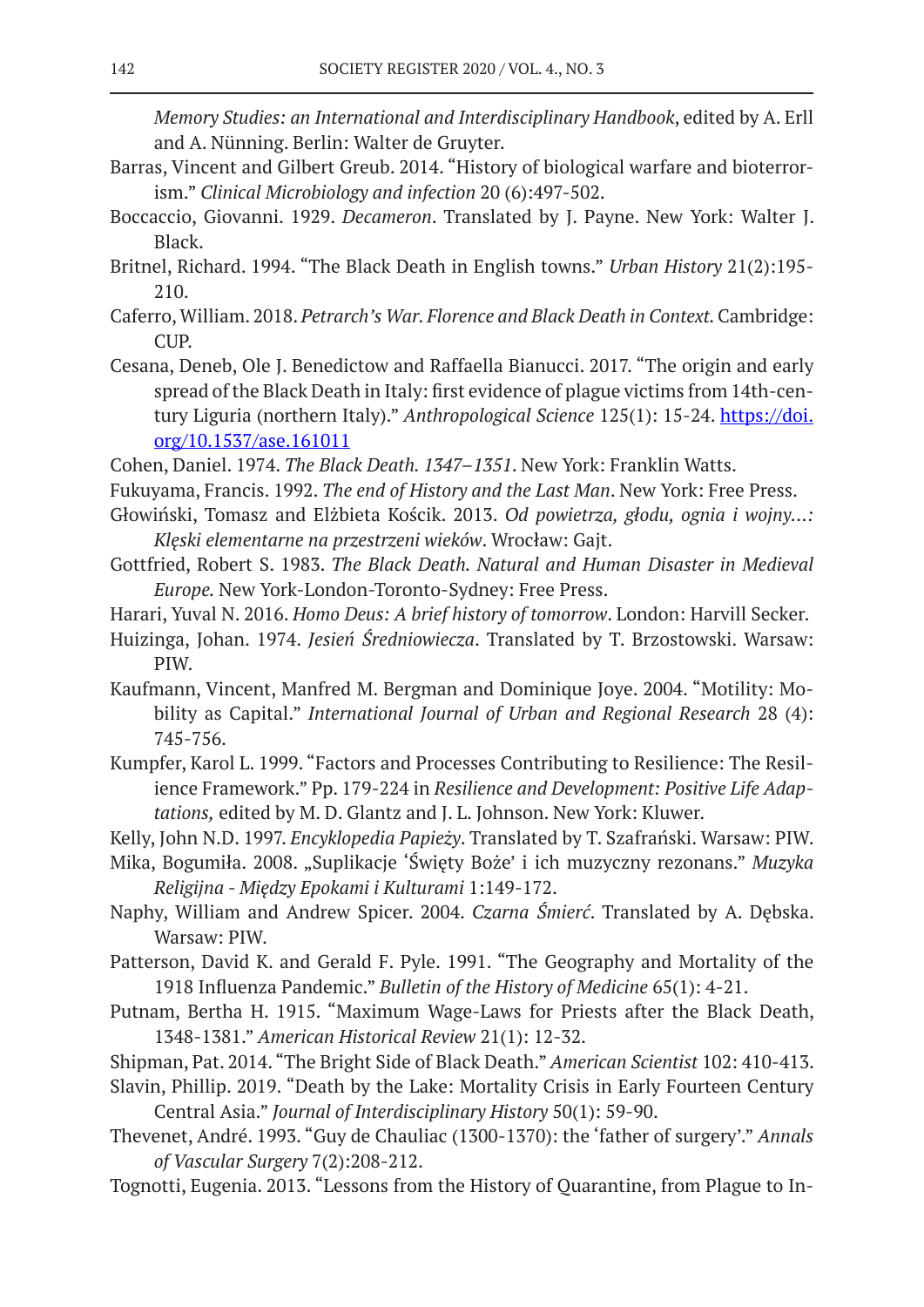*Memory Studies: an International and Interdisciplinary Handbook*, edited by A. Erll and A. Nünning. Berlin: Walter de Gruyter.

- Barras, Vincent and Gilbert Greub. 2014. "History of biological warfare and bioterrorism." *Clinical Microbiology and infection* 20 (6):497-502.
- Boccaccio, Giovanni. 1929. *Decameron*. Translated by J. Payne. New York: Walter J. Black.
- Britnel, Richard. 1994. "The Black Death in English towns." *Urban History* 21(2):195- 210.
- Caferro, William. 2018. *Petrarch's War. Florence and Black Death in Context.*Cambridge: CUP.
- Cesana, Deneb, Ole J. Benedictow and Raffaella Bianucci. 2017. "The origin and early spread of the Black Death in Italy: first evidence of plague victims from 14th-century Liguria (northern Italy)." *Anthropological Science* 125(1): 15-24. https://doi. org/10.1537/ase.161011
- Cohen, Daniel. 1974. *The Black Death. 1347–1351*. New York: Franklin Watts.
- Fukuyama, Francis. 1992. *The end of History and the Last Man*. New York: Free Press.
- Głowiński, Tomasz and Elżbieta Kościk. 2013. *Od powietrza, głodu, ognia i wojny…: Klęski elementarne na przestrzeni wieków*. Wrocław: Gajt.
- Gottfried, Robert S. 1983. *The Black Death. Natural and Human Disaster in Medieval Europe.* New York-London-Toronto-Sydney: Free Press.
- Harari, Yuval N. 2016. *Homo Deus: A brief history of tomorrow*. London: Harvill Secker.
- Huizinga, Johan. 1974. *Jesień Średniowiecza*. Translated by T. Brzostowski. Warsaw: PIW.
- Kaufmann, Vincent, Manfred M. Bergman and Dominique Joye. 2004. "Motility: Mobility as Capital." *International Journal of Urban and Regional Research* 28 (4): 745-756.
- Kumpfer, Karol L. 1999. "Factors and Processes Contributing to Resilience: The Resilience Framework." Pp. 179-224 in *Resilience and Development: Positive Life Adaptations,* edited by M. D. Glantz and J. L. Johnson. New York: Kluwer.
- Kelly, John N.D. 1997. *Encyklopedia Papieży*. Translated by T. Szafrański. Warsaw: PIW.
- Mika, Bogumiła. 2008. "Suplikacje 'Święty Boże' i ich muzyczny rezonans." *Muzyka Religijna - Między Epokami i Kulturami* 1:149-172.
- Naphy, William and Andrew Spicer. 2004. *Czarna Śmierć*. Translated by A. Dębska. Warsaw: PIW.
- Patterson, David K. and Gerald F. Pyle. 1991. "The Geography and Mortality of the 1918 Influenza Pandemic." *Bulletin of the History of Medicine* 65(1): 4-21.
- Putnam, Bertha H. 1915. "Maximum Wage-Laws for Priests after the Black Death, 1348-1381." *American Historical Review* 21(1): 12-32.
- Shipman, Pat. 2014. "The Bright Side of Black Death." *American Scientist* 102: 410-413.
- Slavin, Phillip. 2019. "Death by the Lake: Mortality Crisis in Early Fourteen Century Central Asia." *Journal of Interdisciplinary History* 50(1): 59-90.
- Thevenet, André. 1993. "Guy de Chauliac (1300-1370): the 'father of surgery'." *Annals of Vascular Surgery* 7(2):208-212.
- Tognotti, Eugenia. 2013. "Lessons from the History of Quarantine, from Plague to In-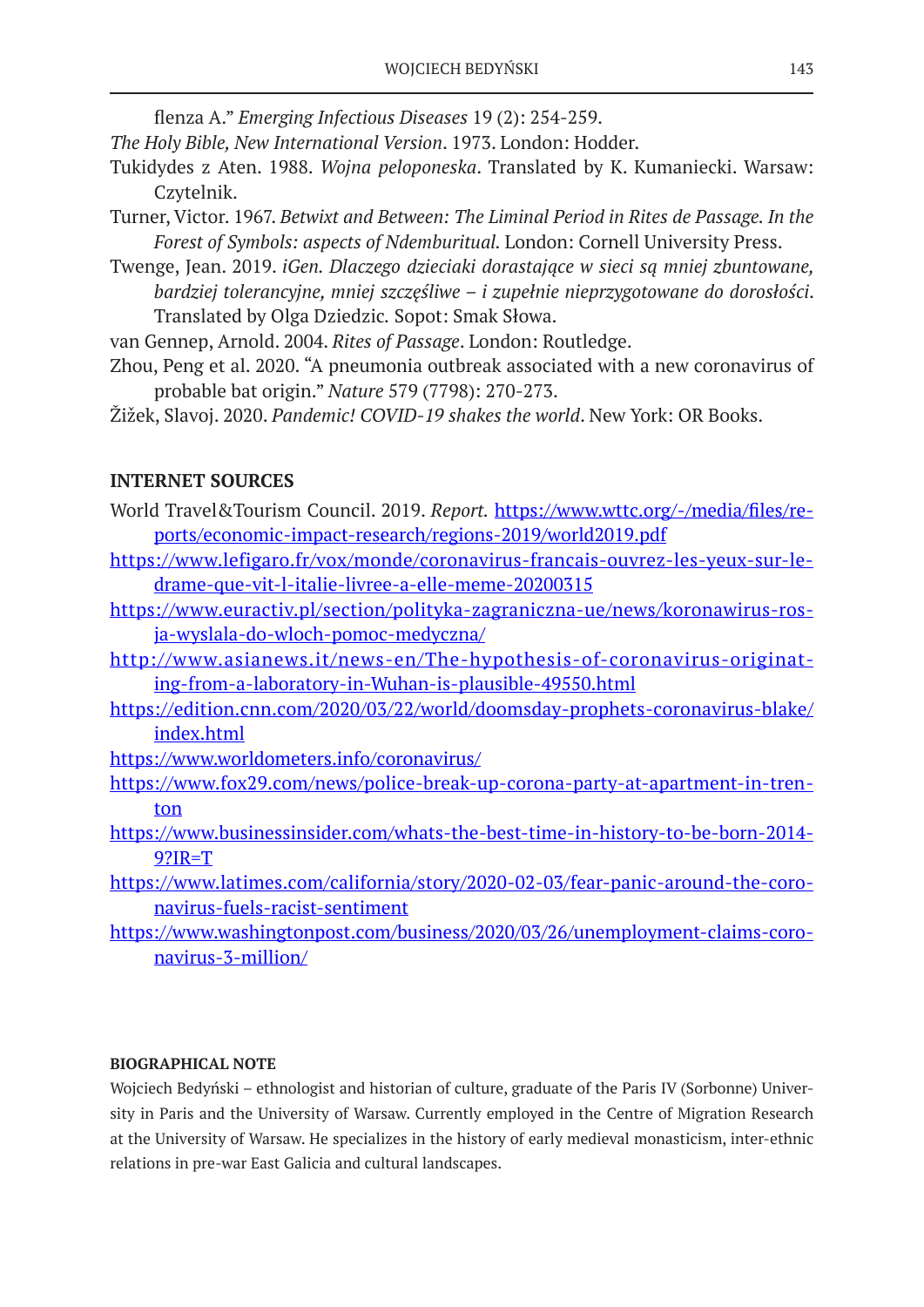flenza A." *Emerging Infectious Diseases* 19 (2): 254-259.

*The Holy Bible, New International Version*. 1973. London: Hodder.

- Tukidydes z Aten. 1988. *Wojna peloponeska*. Translated by K. Kumaniecki. Warsaw: Czytelnik.
- Turner, Victor. 1967. *Betwixt and Between: The Liminal Period in Rites de Passage. In the Forest of Symbols: aspects of Ndemburitual.* London: Cornell University Press.
- Twenge, Jean. 2019. *iGen. Dlaczego dzieciaki dorastające w sieci są mniej zbuntowane, bardziej tolerancyjne, mniej szczęśliwe – i zupełnie nieprzygotowane do dorosłości*. Translated by Olga Dziedzic*.* Sopot: Smak Słowa.

van Gennep, Arnold. 2004. *Rites of Passage*. London: Routledge.

- Zhou, Peng et al. 2020. "A pneumonia outbreak associated with a new coronavirus of probable bat origin." *Nature* 579 (7798): 270-273.
- Žižek, Slavoj. 2020. *Pandemic! COVID-19 shakes the world*. New York: OR Books.

# **INTERNET SOURCES**

- World Travel&Tourism Council. 2019. *Report.* https://www.wttc.org/-/media/files/reports/economic-impact-research/regions-2019/world2019.pdf
- https://www.lefigaro.fr/vox/monde/coronavirus-francais-ouvrez-les-yeux-sur-ledrame-que-vit-l-italie-livree-a-elle-meme-20200315
- https://www.euractiv.pl/section/polityka-zagraniczna-ue/news/koronawirus-rosja-wyslala-do-wloch-pomoc-medyczna/
- http://www.asianews.it/news-en/The-hypothesis-of-coronavirus-originating-from-a-laboratory-in-Wuhan-is-plausible-49550.html
- https://edition.cnn.com/2020/03/22/world/doomsday-prophets-coronavirus-blake/ index.html
- https://www.worldometers.info/coronavirus/
- https://www.fox29.com/news/police-break-up-corona-party-at-apartment-in-trenton
- https://www.businessinsider.com/whats-the-best-time-in-history-to-be-born-2014- 9?IR=T
- https://www.latimes.com/california/story/2020-02-03/fear-panic-around-the-coronavirus-fuels-racist-sentiment
- https://www.washingtonpost.com/business/2020/03/26/unemployment-claims-coronavirus-3-million/

# **BIOGRAPHICAL NOTE**

Wojciech Bedyński – ethnologist and historian of culture, graduate of the Paris IV (Sorbonne) University in Paris and the University of Warsaw. Currently employed in the Centre of Migration Research at the University of Warsaw. He specializes in the history of early medieval monasticism, inter-ethnic relations in pre-war East Galicia and cultural landscapes.